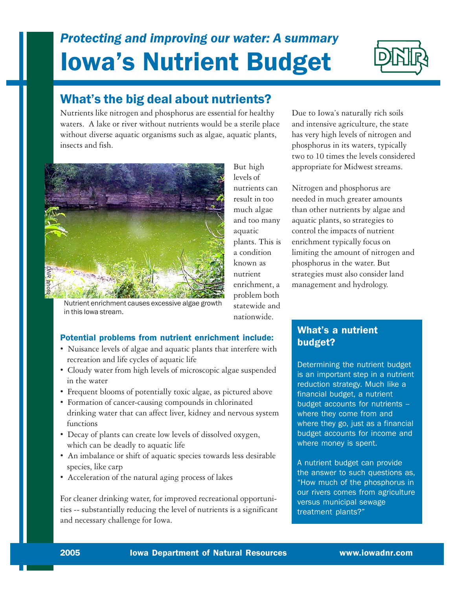# Iowa's Nutrient Budget *Protecting and improving our water: A summary*



## What's the big deal about nutrients?

Nutrients like nitrogen and phosphorus are essential for healthy waters. A lake or river without nutrients would be a sterile place without diverse aquatic organisms such as algae, aquatic plants, insects and fish.



Nutrient enrichment causes excessive algae growth in this Iowa stream.

But high levels of nutrients can result in too much algae and too many aquatic plants. This is a condition known as nutrient enrichment, a problem both statewide and

nationwide.

Due to Iowa's naturally rich soils and intensive agriculture, the state has very high levels of nitrogen and phosphorus in its waters, typically two to 10 times the levels considered appropriate for Midwest streams.

Nitrogen and phosphorus are needed in much greater amounts than other nutrients by algae and aquatic plants, so strategies to control the impacts of nutrient enrichment typically focus on limiting the amount of nitrogen and phosphorus in the water. But strategies must also consider land management and hydrology.

## Potential problems from nutrient enrichment include:

- Nuisance levels of algae and aquatic plants that interfere with recreation and life cycles of aquatic life
- Cloudy water from high levels of microscopic algae suspended in the water
- Frequent blooms of potentially toxic algae, as pictured above
- Formation of cancer-causing compounds in chlorinated drinking water that can affect liver, kidney and nervous system functions
- Decay of plants can create low levels of dissolved oxygen, which can be deadly to aquatic life
- An imbalance or shift of aquatic species towards less desirable species, like carp
- Acceleration of the natural aging process of lakes

For cleaner drinking water, for improved recreational opportunities -- substantially reducing the level of nutrients is a significant and necessary challenge for Iowa.

## What's a nutrient budget?

Determining the nutrient budget is an important step in a nutrient reduction strategy. Much like a financial budget, a nutrient budget accounts for nutrients where they come from and where they go, just as a financial budget accounts for income and where money is spent.

A nutrient budget can provide the answer to such questions as, "How much of the phosphorus in our rivers comes from agriculture versus municipal sewage treatment plants?"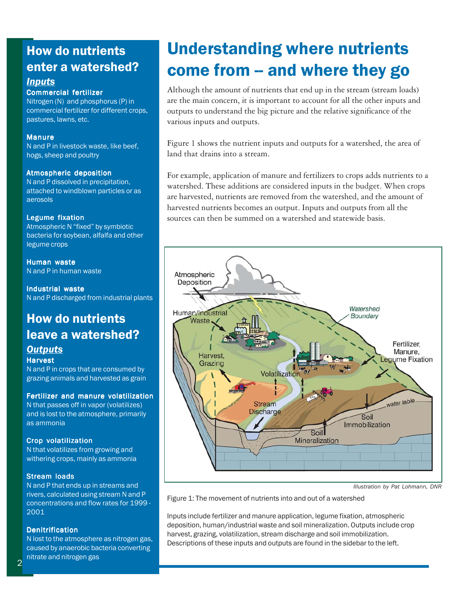# How do nutrients enter a watershed?

## *Inputs*

#### Commercial fertilizer

Nitrogen (N) and phosphorus (P) in commercial fertilizer for different crops, pastures, lawns, etc.

#### Manure

N and P in livestock waste, like beef, hogs, sheep and poultry

#### Atmospheric deposition

N and P dissolved in precipitation, attached to windblown particles or as aerosols

#### Legume fixation

Atmospheric N "fixed" by symbiotic bacteria for soybean, alfalfa and other legume crops

Human waste N and P in human waste

Industrial waste N and P discharged from industrial plants

## How do nutrients leave a watershed? *Outputs*

#### **Harvest**

N and P in crops that are consumed by grazing animals and harvested as grain

#### Fertilizer and manure volatilization

N that passes off in vapor (volatilizes) and is lost to the atmosphere, primarily as ammonia

#### Crop volatilization

N that volatilizes from growing and withering crops, mainly as ammonia

#### Stream loads

N and P that ends up in streams and rivers, calculated using stream N and P concentrations and flow rates for 1999 - 2001

#### **Denitrification**

N lost to the atmosphere as nitrogen gas, caused by anaerobic bacteria converting nitrate and nitrogen gas

# Understanding where nutrients come from -- and where they go

Although the amount of nutrients that end up in the stream (stream loads) are the main concern, it is important to account for all the other inputs and outputs to understand the big picture and the relative significance of the various inputs and outputs.

Figure 1 shows the nutrient inputs and outputs for a watershed, the area of land that drains into a stream.

For example, application of manure and fertilizers to crops adds nutrients to a watershed. These additions are considered inputs in the budget. When crops are harvested, nutrients are removed from the watershed, and the amount of harvested nutrients becomes an output. Inputs and outputs from all the sources can then be summed on a watershed and statewide basis.



*Illustration by Pat Lohmann, DNR*

Figure 1: The movement of nutrients into and out of a watershed

Inputs include fertilizer and manure application, legume fixation, atmospheric deposition, human/industrial waste and soil mineralization. Outputs include crop harvest, grazing, volatilization, stream discharge and soil immobilization. Descriptions of these inputs and outputs are found in the sidebar to the left.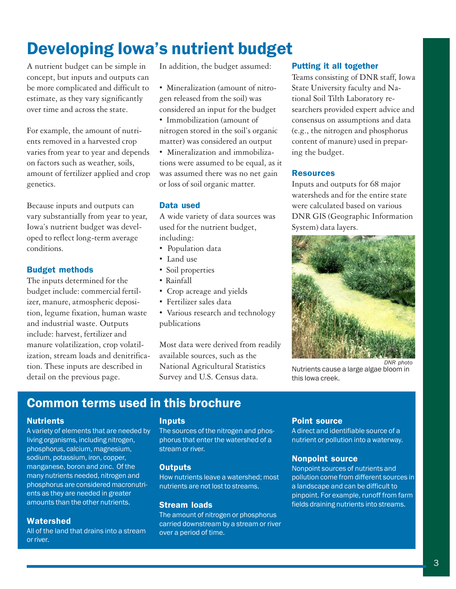# Developing Iowa's nutrient budget

A nutrient budget can be simple in concept, but inputs and outputs can be more complicated and difficult to estimate, as they vary significantly over time and across the state.

For example, the amount of nutrients removed in a harvested crop varies from year to year and depends on factors such as weather, soils, amount of fertilizer applied and crop genetics.

Because inputs and outputs can vary substantially from year to year, Iowa's nutrient budget was developed to reflect long-term average conditions.

## Budget methods

The inputs determined for the budget include: commercial fertilizer, manure, atmospheric deposition, legume fixation, human waste and industrial waste. Outputs include: harvest, fertilizer and manure volatilization, crop volatilization, stream loads and denitrification. These inputs are described in detail on the previous page.

In addition, the budget assumed:

• Mineralization (amount of nitrogen released from the soil) was considered an input for the budget • Immobilization (amount of nitrogen stored in the soil's organic matter) was considered an output

• Mineralization and immobilizations were assumed to be equal, as it was assumed there was no net gain or loss of soil organic matter.

### Data used

A wide variety of data sources was used for the nutrient budget, including:

- Population data
- Land use
- Soil properties
- Rainfall
- Crop acreage and yields
- Fertilizer sales data
- Various research and technology publications

Most data were derived from readily available sources, such as the National Agricultural Statistics Survey and U.S. Census data.

### Putting it all together

Teams consisting of DNR staff, Iowa State University faculty and National Soil Tilth Laboratory researchers provided expert advice and consensus on assumptions and data (e.g., the nitrogen and phosphorus content of manure) used in preparing the budget.

#### Resources

Inputs and outputs for 68 major watersheds and for the entire state were calculated based on various DNR GIS (Geographic Information System) data layers.



Nutrients cause a large algae bloom in this Iowa creek.

# Common terms used in this brochure

#### **Nutrients**

A variety of elements that are needed by living organisms, including nitrogen, phosphorus, calcium, magnesium, sodium, potassium, iron, copper, manganese, boron and zinc. Of the many nutrients needed, nitrogen and phosphorus are considered macronutrients as they are needed in greater amounts than the other nutrients.

#### **Watershed**

All of the land that drains into a stream or river.

#### Inputs

The sources of the nitrogen and phosphorus that enter the watershed of a stream or river.

#### **Outputs**

How nutrients leave a watershed; most nutrients are not lost to streams.

#### Stream loads

The amount of nitrogen or phosphorus carried downstream by a stream or river over a period of time.

#### Point source

A direct and identifiable source of a nutrient or pollution into a waterway.

#### Nonpoint source

Nonpoint sources of nutrients and pollution come from different sources in a landscape and can be difficult to pinpoint. For example, runoff from farm fields draining nutrients into streams.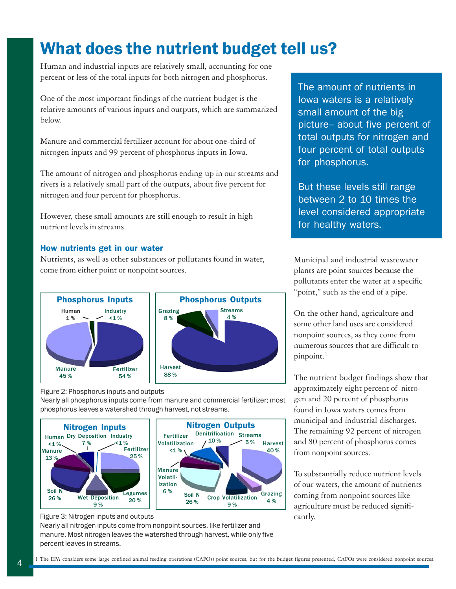# What does the nutrient budget tell us?

Human and industrial inputs are relatively small, accounting for one percent or less of the total inputs for both nitrogen and phosphorus.

One of the most important findings of the nutrient budget is the relative amounts of various inputs and outputs, which are summarized below.

Manure and commercial fertilizer account for about one-third of nitrogen inputs and 99 percent of phosphorus inputs in Iowa.

The amount of nitrogen and phosphorus ending up in our streams and rivers is a relatively small part of the outputs, about five percent for nitrogen and four percent for phosphorus.

However, these small amounts are still enough to result in high nutrient levels in streams.

### How nutrients get in our water

Nutrients, as well as other substances or pollutants found in water, come from either point or nonpoint sources.



Figure 2: Phosphorus inputs and outputs

Nearly all phosphorus inputs come from manure and commercial fertilizer; most phosphorus leaves a watershed through harvest, not streams.



Figure 3: Nitrogen inputs and outputs

Nearly all nitrogen inputs come from nonpoint sources, like fertilizer and manure. Most nitrogen leaves the watershed through harvest, while only five percent leaves in streams.

The amount of nutrients in Iowa waters is a relatively small amount of the big picture-- about five percent of total outputs for nitrogen and four percent of total outputs for phosphorus.

But these levels still range between 2 to 10 times the level considered appropriate for healthy waters.

Municipal and industrial wastewater plants are point sources because the pollutants enter the water at a specific "point," such as the end of a pipe.

On the other hand, agriculture and some other land uses are considered nonpoint sources, as they come from numerous sources that are difficult to pinpoint.<sup>1</sup>

The nutrient budget findings show that approximately eight percent of nitrogen and 20 percent of phosphorus found in Iowa waters comes from municipal and industrial discharges. The remaining 92 percent of nitrogen and 80 percent of phosphorus comes from nonpoint sources.

To substantially reduce nutrient levels of our waters, the amount of nutrients coming from nonpoint sources like agriculture must be reduced significantly.

Streams 4 %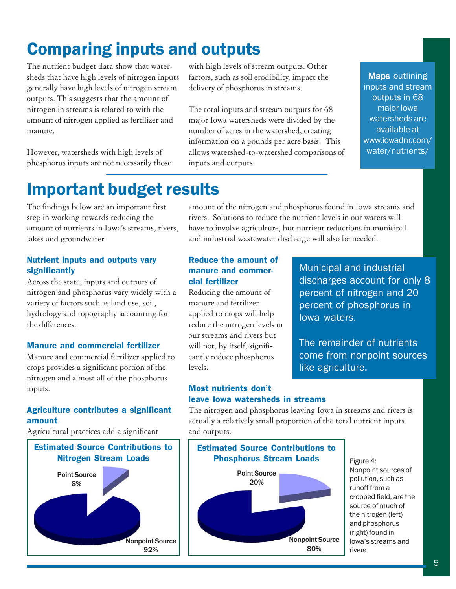# Comparing inputs and outputs

The nutrient budget data show that watersheds that have high levels of nitrogen inputs generally have high levels of nitrogen stream outputs. This suggests that the amount of nitrogen in streams is related to with the amount of nitrogen applied as fertilizer and manure.

However, watersheds with high levels of phosphorus inputs are not necessarily those with high levels of stream outputs. Other factors, such as soil erodibility, impact the delivery of phosphorus in streams.

The total inputs and stream outputs for 68 major Iowa watersheds were divided by the number of acres in the watershed, creating information on a pounds per acre basis. This allows watershed-to-watershed comparisons of inputs and outputs.

Maps outlining inputs and stream outputs in 68 major Iowa watersheds are available at www.iowadnr.com/ water/nutrients/

# Important budget results

The findings below are an important first step in working towards reducing the amount of nutrients in Iowa's streams, rivers, lakes and groundwater.

## Nutrient inputs and outputs vary significantly

Across the state, inputs and outputs of nitrogen and phosphorus vary widely with a variety of factors such as land use, soil, hydrology and topography accounting for the differences.

#### Manure and commercial fertilizer

Manure and commercial fertilizer applied to crops provides a significant portion of the nitrogen and almost all of the phosphorus inputs.

## Agriculture contributes a significant amount

Agricultural practices add a significant



amount of the nitrogen and phosphorus found in Iowa streams and rivers. Solutions to reduce the nutrient levels in our waters will have to involve agriculture, but nutrient reductions in municipal and industrial wastewater discharge will also be needed.

## Reduce the amount of manure and commercial fertilizer

Reducing the amount of manure and fertilizer applied to crops will help reduce the nitrogen levels in our streams and rivers but will not, by itself, significantly reduce phosphorus levels.

Municipal and industrial discharges account for only 8 percent of nitrogen and 20 percent of phosphorus in Iowa waters.

The remainder of nutrients come from nonpoint sources like agriculture.

### Most nutrients don't leave Iowa watersheds in streams

The nitrogen and phosphorus leaving Iowa in streams and rivers is actually a relatively small proportion of the total nutrient inputs and outputs.



Figure 4: Nonpoint sources of pollution, such as runoff from a cropped field, are the source of much of the nitrogen (left) and phosphorus (right) found in Iowa's streams and rivers.